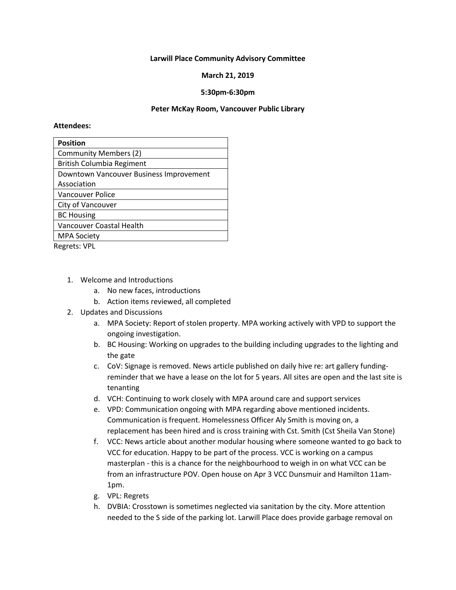# **Larwill Place Community Advisory Committee**

## **March 21, 2019**

# **5:30pm-6:30pm**

## **Peter McKay Room, Vancouver Public Library**

#### **Attendees:**

| <b>Position</b>                         |
|-----------------------------------------|
| <b>Community Members (2)</b>            |
| <b>British Columbia Regiment</b>        |
| Downtown Vancouver Business Improvement |
| Association                             |
| <b>Vancouver Police</b>                 |
| City of Vancouver                       |
| <b>BC Housing</b>                       |
| Vancouver Coastal Health                |
| <b>MPA Society</b>                      |
|                                         |

Regrets: VPL

- 1. Welcome and Introductions
	- a. No new faces, introductions
	- b. Action items reviewed, all completed
- 2. Updates and Discussions
	- a. MPA Society: Report of stolen property. MPA working actively with VPD to support the ongoing investigation.
	- b. BC Housing: Working on upgrades to the building including upgrades to the lighting and the gate
	- c. CoV: Signage is removed. News article published on daily hive re: art gallery fundingreminder that we have a lease on the lot for 5 years. All sites are open and the last site is tenanting
	- d. VCH: Continuing to work closely with MPA around care and support services
	- e. VPD: Communication ongoing with MPA regarding above mentioned incidents. Communication is frequent. Homelessness Officer Aly Smith is moving on, a replacement has been hired and is cross training with Cst. Smith (Cst Sheila Van Stone)
	- f. VCC: News article about another modular housing where someone wanted to go back to VCC for education. Happy to be part of the process. VCC is working on a campus masterplan - this is a chance for the neighbourhood to weigh in on what VCC can be from an infrastructure POV. Open house on Apr 3 VCC Dunsmuir and Hamilton 11am-1pm.
	- g. VPL: Regrets
	- h. DVBIA: Crosstown is sometimes neglected via sanitation by the city. More attention needed to the S side of the parking lot. Larwill Place does provide garbage removal on